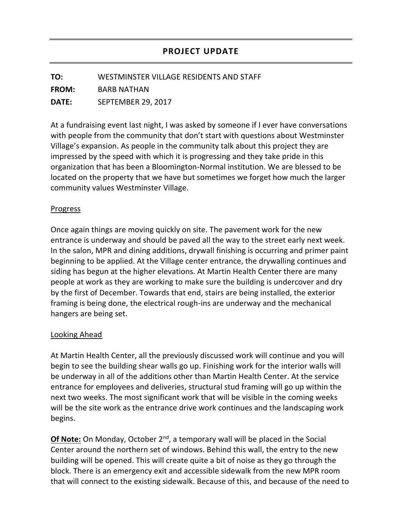**TO:** WESTMINSTER VILLAGE RESIDENTS AND STAFF

**FROM:** BARB NATHAN

**DATE:** SEPTEMBER 29, 2017

At a fundraising event last night, I was asked by someone if I ever have conversations with people from the community that don't start with questions about Westminster Village's expansion. As people in the community talk about this project they are impressed by the speed with which it is progressing and they take pride in this organization that has been a Bloomington-Normal institution. We are blessed to be located on the property that we have but sometimes we forget how much the larger community values Westminster Village.

## Progress

Once again things are moving quickly on site. The pavement work for the new entrance is underway and should be paved all the way to the street early next week. In the salon, MPR and dining additions, drywall finishing is occurring and primer paint beginning to be applied. At the Village center entrance, the drywalling continues and siding has begun at the higher elevations. At Martin Health Center there are many people at work as they are working to make sure the building is undercover and dry by the first of December. Towards that end, stairs are being installed, the exterior framing is being done, the electrical rough-ins are underway and the mechanical hangers are being set.

## Looking Ahead

At Martin Health Center, all the previously discussed work will continue and you will begin to see the building shear walls go up. Finishing work for the interior walls will be underway in all of the additions other than Martin Health Center. At the service entrance for employees and deliveries, structural stud framing will go up within the next two weeks. The most significant work that will be visible in the coming weeks will be the site work as the entrance drive work continues and the landscaping work begins.

**Of Note:** On Monday, October 2<sup>nd</sup>, a temporary wall will be placed in the Social Center around the northern set of windows. Behind this wall, the entry to the new building will be opened. This will create quite a bit of noise as they go through the block. There is an emergency exit and accessible sidewalk from the new MPR room that will connect to the existing sidewalk. Because of this, and because of the need to